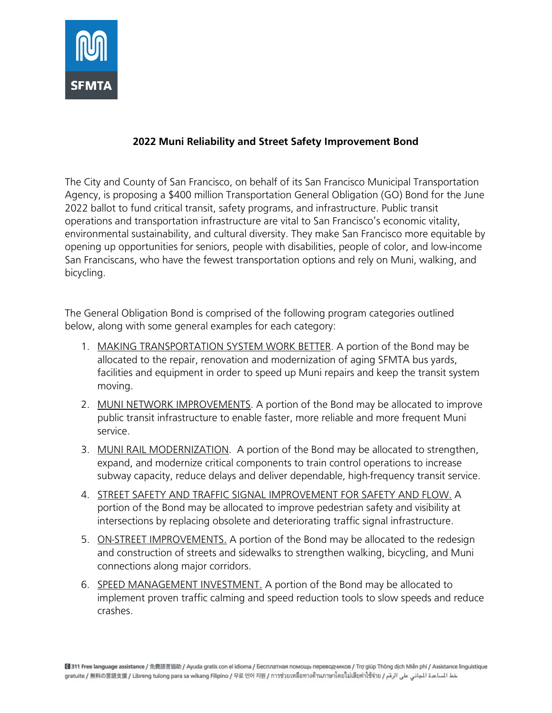

## **2022 Muni Reliability and Street Safety Improvement Bond**

The City and County of San Francisco, on behalf of its San Francisco Municipal Transportation Agency, is proposing a \$400 million Transportation General Obligation (GO) Bond for the June 2022 ballot to fund critical transit, safety programs, and infrastructure. Public transit operations and transportation infrastructure are vital to San Francisco's economic vitality, environmental sustainability, and cultural diversity. They make San Francisco more equitable by opening up opportunities for seniors, people with disabilities, people of color, and low-income San Franciscans, who have the fewest transportation options and rely on Muni, walking, and bicycling.

The General Obligation Bond is comprised of the following program categories outlined below, along with some general examples for each category:

- 1. MAKING TRANSPORTATION SYSTEM WORK BETTER. A portion of the Bond may be allocated to the repair, renovation and modernization of aging SFMTA bus yards, facilities and equipment in order to speed up Muni repairs and keep the transit system moving.
- 2. MUNI NETWORK IMPROVEMENTS. A portion of the Bond may be allocated to improve public transit infrastructure to enable faster, more reliable and more frequent Muni service.
- 3. MUNI RAIL MODERNIZATION. A portion of the Bond may be allocated to strengthen, expand, and modernize critical components to train control operations to increase subway capacity, reduce delays and deliver dependable, high-frequency transit service.
- 4. STREET SAFETY AND TRAFFIC SIGNAL IMPROVEMENT FOR SAFETY AND FLOW. A portion of the Bond may be allocated to improve pedestrian safety and visibility at intersections by replacing obsolete and deteriorating traffic signal infrastructure.
- 5. ON-STREET IMPROVEMENTS. A portion of the Bond may be allocated to the redesign and construction of streets and sidewalks to strengthen walking, bicycling, and Muni connections along major corridors.
- 6. SPEED MANAGEMENT INVESTMENT. A portion of the Bond may be allocated to implement proven traffic calming and speed reduction tools to slow speeds and reduce crashes.